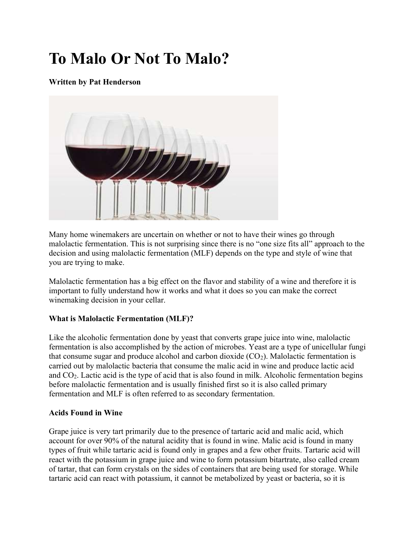# To Malo Or Not To Malo?

# Written by Pat Henderson



Many home winemakers are uncertain on whether or not to have their wines go through malolactic fermentation. This is not surprising since there is no "one size fits all" approach to the decision and using malolactic fermentation (MLF) depends on the type and style of wine that you are trying to make.

Malolactic fermentation has a big effect on the flavor and stability of a wine and therefore it is important to fully understand how it works and what it does so you can make the correct winemaking decision in your cellar.

# What is Malolactic Fermentation (MLF)?

Like the alcoholic fermentation done by yeast that converts grape juice into wine, malolactic fermentation is also accomplished by the action of microbes. Yeast are a type of unicellular fungi that consume sugar and produce alcohol and carbon dioxide  $(CO<sub>2</sub>)$ . Malolactic fermentation is carried out by malolactic bacteria that consume the malic acid in wine and produce lactic acid and CO2. Lactic acid is the type of acid that is also found in milk. Alcoholic fermentation begins before malolactic fermentation and is usually finished first so it is also called primary fermentation and MLF is often referred to as secondary fermentation.

# Acids Found in Wine

Grape juice is very tart primarily due to the presence of tartaric acid and malic acid, which account for over 90% of the natural acidity that is found in wine. Malic acid is found in many types of fruit while tartaric acid is found only in grapes and a few other fruits. Tartaric acid will react with the potassium in grape juice and wine to form potassium bitartrate, also called cream of tartar, that can form crystals on the sides of containers that are being used for storage. While tartaric acid can react with potassium, it cannot be metabolized by yeast or bacteria, so it is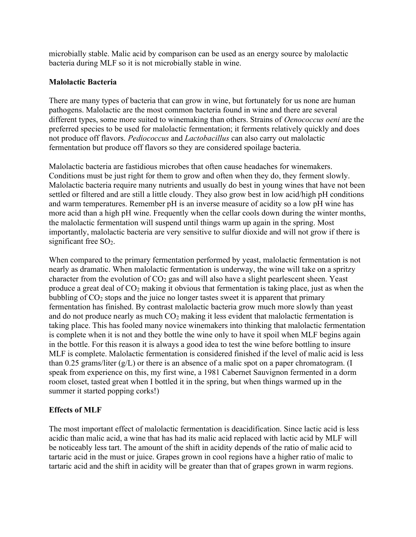microbially stable. Malic acid by comparison can be used as an energy source by malolactic bacteria during MLF so it is not microbially stable in wine.

#### Malolactic Bacteria

There are many types of bacteria that can grow in wine, but fortunately for us none are human pathogens. Malolactic are the most common bacteria found in wine and there are several different types, some more suited to winemaking than others. Strains of *Oenococcus oeni* are the preferred species to be used for malolactic fermentation; it ferments relatively quickly and does not produce off flavors. Pediococcus and Lactobacillus can also carry out malolactic fermentation but produce off flavors so they are considered spoilage bacteria.

Malolactic bacteria are fastidious microbes that often cause headaches for winemakers. Conditions must be just right for them to grow and often when they do, they ferment slowly. Malolactic bacteria require many nutrients and usually do best in young wines that have not been settled or filtered and are still a little cloudy. They also grow best in low acid/high pH conditions and warm temperatures. Remember pH is an inverse measure of acidity so a low pH wine has more acid than a high pH wine. Frequently when the cellar cools down during the winter months, the malolactic fermentation will suspend until things warm up again in the spring. Most importantly, malolactic bacteria are very sensitive to sulfur dioxide and will not grow if there is significant free  $SO<sub>2</sub>$ .

When compared to the primary fermentation performed by yeast, malolactic fermentation is not nearly as dramatic. When malolactic fermentation is underway, the wine will take on a spritzy character from the evolution of  $CO<sub>2</sub>$  gas and will also have a slight pearlescent sheen. Yeast produce a great deal of  $CO<sub>2</sub>$  making it obvious that fermentation is taking place, just as when the bubbling of  $CO<sub>2</sub>$  stops and the juice no longer tastes sweet it is apparent that primary fermentation has finished. By contrast malolactic bacteria grow much more slowly than yeast and do not produce nearly as much  $CO<sub>2</sub>$  making it less evident that malolactic fermentation is taking place. This has fooled many novice winemakers into thinking that malolactic fermentation is complete when it is not and they bottle the wine only to have it spoil when MLF begins again in the bottle. For this reason it is always a good idea to test the wine before bottling to insure MLF is complete. Malolactic fermentation is considered finished if the level of malic acid is less than 0.25 grams/liter  $(g/L)$  or there is an absence of a malic spot on a paper chromatogram. (I speak from experience on this, my first wine, a 1981 Cabernet Sauvignon fermented in a dorm room closet, tasted great when I bottled it in the spring, but when things warmed up in the summer it started popping corks!)

# Effects of MLF

The most important effect of malolactic fermentation is deacidification. Since lactic acid is less acidic than malic acid, a wine that has had its malic acid replaced with lactic acid by MLF will be noticeably less tart. The amount of the shift in acidity depends of the ratio of malic acid to tartaric acid in the must or juice. Grapes grown in cool regions have a higher ratio of malic to tartaric acid and the shift in acidity will be greater than that of grapes grown in warm regions.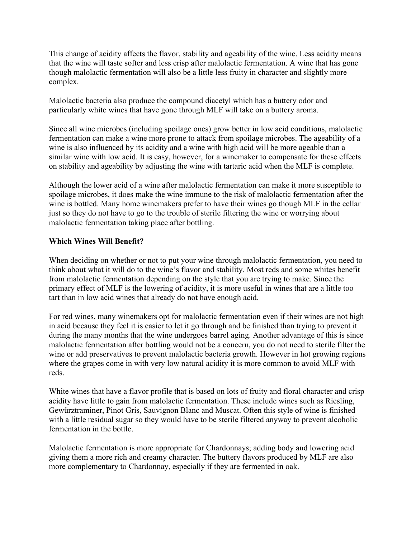This change of acidity affects the flavor, stability and ageability of the wine. Less acidity means that the wine will taste softer and less crisp after malolactic fermentation. A wine that has gone though malolactic fermentation will also be a little less fruity in character and slightly more complex.

Malolactic bacteria also produce the compound diacetyl which has a buttery odor and particularly white wines that have gone through MLF will take on a buttery aroma.

Since all wine microbes (including spoilage ones) grow better in low acid conditions, malolactic fermentation can make a wine more prone to attack from spoilage microbes. The ageability of a wine is also influenced by its acidity and a wine with high acid will be more ageable than a similar wine with low acid. It is easy, however, for a winemaker to compensate for these effects on stability and ageability by adjusting the wine with tartaric acid when the MLF is complete.

Although the lower acid of a wine after malolactic fermentation can make it more susceptible to spoilage microbes, it does make the wine immune to the risk of malolactic fermentation after the wine is bottled. Many home winemakers prefer to have their wines go though MLF in the cellar just so they do not have to go to the trouble of sterile filtering the wine or worrying about malolactic fermentation taking place after bottling.

#### Which Wines Will Benefit?

When deciding on whether or not to put your wine through malolactic fermentation, you need to think about what it will do to the wine's flavor and stability. Most reds and some whites benefit from malolactic fermentation depending on the style that you are trying to make. Since the primary effect of MLF is the lowering of acidity, it is more useful in wines that are a little too tart than in low acid wines that already do not have enough acid.

For red wines, many winemakers opt for malolactic fermentation even if their wines are not high in acid because they feel it is easier to let it go through and be finished than trying to prevent it during the many months that the wine undergoes barrel aging. Another advantage of this is since malolactic fermentation after bottling would not be a concern, you do not need to sterile filter the wine or add preservatives to prevent malolactic bacteria growth. However in hot growing regions where the grapes come in with very low natural acidity it is more common to avoid MLF with reds.

White wines that have a flavor profile that is based on lots of fruity and floral character and crisp acidity have little to gain from malolactic fermentation. These include wines such as Riesling, Gewürztraminer, Pinot Gris, Sauvignon Blanc and Muscat. Often this style of wine is finished with a little residual sugar so they would have to be sterile filtered anyway to prevent alcoholic fermentation in the bottle.

Malolactic fermentation is more appropriate for Chardonnays; adding body and lowering acid giving them a more rich and creamy character. The buttery flavors produced by MLF are also more complementary to Chardonnay, especially if they are fermented in oak.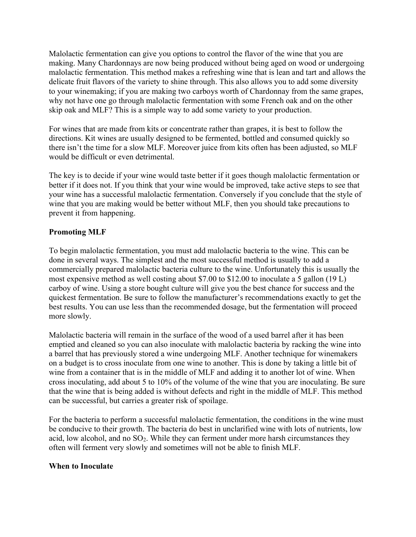Malolactic fermentation can give you options to control the flavor of the wine that you are making. Many Chardonnays are now being produced without being aged on wood or undergoing malolactic fermentation. This method makes a refreshing wine that is lean and tart and allows the delicate fruit flavors of the variety to shine through. This also allows you to add some diversity to your winemaking; if you are making two carboys worth of Chardonnay from the same grapes, why not have one go through malolactic fermentation with some French oak and on the other skip oak and MLF? This is a simple way to add some variety to your production.

For wines that are made from kits or concentrate rather than grapes, it is best to follow the directions. Kit wines are usually designed to be fermented, bottled and consumed quickly so there isn't the time for a slow MLF. Moreover juice from kits often has been adjusted, so MLF would be difficult or even detrimental.

The key is to decide if your wine would taste better if it goes though malolactic fermentation or better if it does not. If you think that your wine would be improved, take active steps to see that your wine has a successful malolactic fermentation. Conversely if you conclude that the style of wine that you are making would be better without MLF, then you should take precautions to prevent it from happening.

# Promoting MLF

To begin malolactic fermentation, you must add malolactic bacteria to the wine. This can be done in several ways. The simplest and the most successful method is usually to add a commercially prepared malolactic bacteria culture to the wine. Unfortunately this is usually the most expensive method as well costing about \$7.00 to \$12.00 to inoculate a 5 gallon (19 L) carboy of wine. Using a store bought culture will give you the best chance for success and the quickest fermentation. Be sure to follow the manufacturer's recommendations exactly to get the best results. You can use less than the recommended dosage, but the fermentation will proceed more slowly.

Malolactic bacteria will remain in the surface of the wood of a used barrel after it has been emptied and cleaned so you can also inoculate with malolactic bacteria by racking the wine into a barrel that has previously stored a wine undergoing MLF. Another technique for winemakers on a budget is to cross inoculate from one wine to another. This is done by taking a little bit of wine from a container that is in the middle of MLF and adding it to another lot of wine. When cross inoculating, add about 5 to 10% of the volume of the wine that you are inoculating. Be sure that the wine that is being added is without defects and right in the middle of MLF. This method can be successful, but carries a greater risk of spoilage.

For the bacteria to perform a successful malolactic fermentation, the conditions in the wine must be conducive to their growth. The bacteria do best in unclarified wine with lots of nutrients, low acid, low alcohol, and no SO2. While they can ferment under more harsh circumstances they often will ferment very slowly and sometimes will not be able to finish MLF.

# When to Inoculate